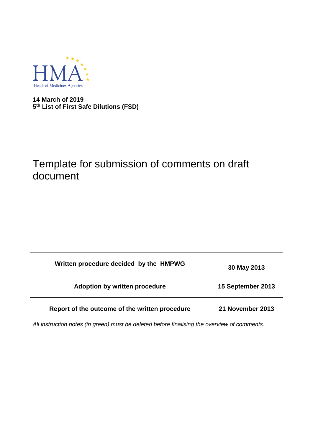

**14 March of 2019 5 th List of First Safe Dilutions (FSD)**

# Template for submission of comments on draft document

| Written procedure decided by the HMPWG         | 30 May 2013       |  |
|------------------------------------------------|-------------------|--|
| Adoption by written procedure                  | 15 September 2013 |  |
| Report of the outcome of the written procedure | 21 November 2013  |  |

*All instruction notes (in green) must be deleted before finalising the overview of comments.*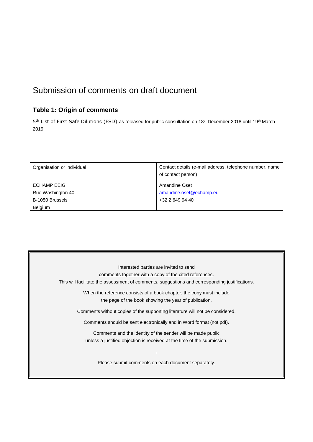# Submission of comments on draft document

## **Table 1: Origin of comments**

5<sup>th</sup> List of First Safe Dilutions (FSD) as released for public consultation on 18<sup>th</sup> December 2018 until 19<sup>th</sup> March 2019.

| Organisation or individual | Contact details (e-mail address, telephone number, name<br>of contact person) |
|----------------------------|-------------------------------------------------------------------------------|
| <b>ECHAMP EEIG</b>         | Amandine Oset                                                                 |
| Rue Washington 40          | amandine.oset@echamp.eu                                                       |
| B-1050 Brussels            | +32 2 649 94 40                                                               |
| Belgium                    |                                                                               |

| Interested parties are invited to send                                                         |
|------------------------------------------------------------------------------------------------|
| comments together with a copy of the cited references.                                         |
| This will facilitate the assessment of comments, suggestions and corresponding justifications. |
| When the reference consists of a book chapter, the copy must include                           |
| the page of the book showing the year of publication.                                          |
| Comments without copies of the supporting literature will not be considered.                   |
| Comments should be sent electronically and in Word format (not pdf).                           |
| Comments and the identity of the sender will be made public                                    |
| unless a justified objection is received at the time of the submission.                        |
|                                                                                                |
| Please submit comments on each document separately.                                            |
|                                                                                                |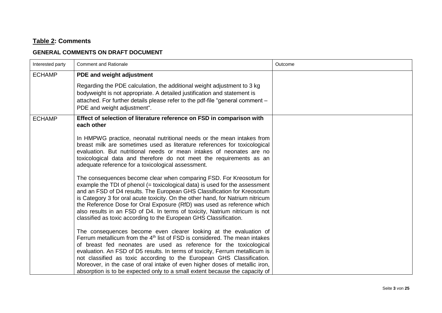#### **Table 2: Comments**

#### **GENERAL COMMENTS ON DRAFT DOCUMENT**

| Interested party | <b>Comment and Rationale</b>                                                                                                                                                                                                                                                                                                                                                                                                                                                                                                                   | Outcome |
|------------------|------------------------------------------------------------------------------------------------------------------------------------------------------------------------------------------------------------------------------------------------------------------------------------------------------------------------------------------------------------------------------------------------------------------------------------------------------------------------------------------------------------------------------------------------|---------|
| <b>ECHAMP</b>    | PDE and weight adjustment                                                                                                                                                                                                                                                                                                                                                                                                                                                                                                                      |         |
|                  | Regarding the PDE calculation, the additional weight adjustment to 3 kg<br>bodyweight is not appropriate. A detailed justification and statement is<br>attached. For further details please refer to the pdf-file "general comment -<br>PDE and weight adjustment".                                                                                                                                                                                                                                                                            |         |
| <b>ECHAMP</b>    | Effect of selection of literature reference on FSD in comparison with<br>each other                                                                                                                                                                                                                                                                                                                                                                                                                                                            |         |
|                  | In HMPWG practice, neonatal nutritional needs or the mean intakes from<br>breast milk are sometimes used as literature references for toxicological<br>evaluation. But nutritional needs or mean intakes of neonates are no<br>toxicological data and therefore do not meet the requirements as an<br>adequate reference for a toxicological assessment.                                                                                                                                                                                       |         |
|                  | The consequences become clear when comparing FSD. For Kreosotum for<br>example the TDI of phenol (= toxicological data) is used for the assessment<br>and an FSD of D4 results. The European GHS Classification for Kreosotum<br>is Category 3 for oral acute toxicity. On the other hand, for Natrium nitricum<br>the Reference Dose for Oral Exposure (RfD) was used as reference which<br>also results in an FSD of D4. In terms of toxicity, Natrium nitricum is not<br>classified as toxic according to the European GHS Classification.  |         |
|                  | The consequences become even clearer looking at the evaluation of<br>Ferrum metallicum from the $4th$ list of FSD is considered. The mean intakes<br>of breast fed neonates are used as reference for the toxicological<br>evaluation. An FSD of D5 results. In terms of toxicity, Ferrum metallicum is<br>not classified as toxic according to the European GHS Classification.<br>Moreover, in the case of oral intake of even higher doses of metallic iron,<br>absorption is to be expected only to a small extent because the capacity of |         |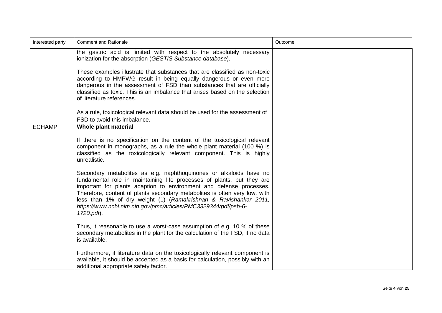| Interested party | <b>Comment and Rationale</b><br>Outcome                                                                                                                                                                                                                                                                                                                                                                                                                |  |  |  |
|------------------|--------------------------------------------------------------------------------------------------------------------------------------------------------------------------------------------------------------------------------------------------------------------------------------------------------------------------------------------------------------------------------------------------------------------------------------------------------|--|--|--|
|                  | the gastric acid is limited with respect to the absolutely necessary<br>ionization for the absorption (GESTIS Substance database).                                                                                                                                                                                                                                                                                                                     |  |  |  |
|                  | These examples illustrate that substances that are classified as non-toxic<br>according to HMPWG result in being equally dangerous or even more<br>dangerous in the assessment of FSD than substances that are officially<br>classified as toxic. This is an imbalance that arises based on the selection<br>of literature references.                                                                                                                 |  |  |  |
|                  | As a rule, toxicological relevant data should be used for the assessment of<br>FSD to avoid this imbalance.                                                                                                                                                                                                                                                                                                                                            |  |  |  |
| <b>ECHAMP</b>    | Whole plant material                                                                                                                                                                                                                                                                                                                                                                                                                                   |  |  |  |
|                  | If there is no specification on the content of the toxicological relevant<br>component in monographs, as a rule the whole plant material (100 %) is<br>classified as the toxicologically relevant component. This is highly<br>unrealistic.                                                                                                                                                                                                            |  |  |  |
|                  | Secondary metabolites as e.g. naphthoquinones or alkaloids have no<br>fundamental role in maintaining life processes of plants, but they are<br>important for plants adaption to environment and defense processes.<br>Therefore, content of plants secondary metabolites is often very low, with<br>less than 1% of dry weight (1) (Ramakrishnan & Ravishankar 2011,<br>https://www.ncbi.nlm.nih.gov/pmc/articles/PMC3329344/pdf/psb-6-<br>1720.pdf). |  |  |  |
|                  | Thus, it reasonable to use a worst-case assumption of e.g. 10 % of these<br>secondary metabolites in the plant for the calculation of the FSD, if no data<br>is available.                                                                                                                                                                                                                                                                             |  |  |  |
|                  | Furthermore, if literature data on the toxicologically relevant component is<br>available, it should be accepted as a basis for calculation, possibly with an<br>additional appropriate safety factor.                                                                                                                                                                                                                                                 |  |  |  |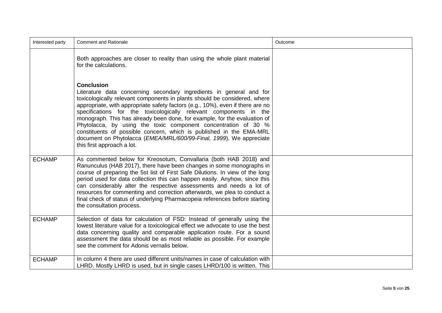| Interested party | <b>Comment and Rationale</b>                                                                                                                                                                                                                                                                                                                                                                                                                                                                                                                                                                                                                            | Outcome |
|------------------|---------------------------------------------------------------------------------------------------------------------------------------------------------------------------------------------------------------------------------------------------------------------------------------------------------------------------------------------------------------------------------------------------------------------------------------------------------------------------------------------------------------------------------------------------------------------------------------------------------------------------------------------------------|---------|
|                  | Both approaches are closer to reality than using the whole plant material<br>for the calculations.                                                                                                                                                                                                                                                                                                                                                                                                                                                                                                                                                      |         |
|                  | <b>Conclusion</b><br>Literature data concerning secondary ingredients in general and for<br>toxicologically relevant components in plants should be considered, where<br>appropriate, with appropriate safety factors (e.g., 10%), even if there are no<br>specifications for the toxicologically relevant components in the<br>monograph. This has already been done, for example, for the evaluation of<br>Phytolacca, by using the toxic component concentration of 30 %<br>constituents of possible concern, which is published in the EMA-MRL<br>document on Phytolacca (EMEA/MRL/600/99-Final, 1999). We appreciate<br>this first approach a lot. |         |
| <b>ECHAMP</b>    | As commented below for Kreosotum, Convallaria (both HAB 2018) and<br>Ranunculus (HAB 2017), there have been changes in some monographs in<br>course of preparing the 5st list of First Safe Dilutions. In view of the long<br>period used for data collection this can happen easily. Anyhow, since this<br>can considerably alter the respective assessments and needs a lot of<br>resources for commenting and correction afterwards, we plea to conduct a<br>final check of status of underlying Pharmacopeia references before starting<br>the consultation process.                                                                                |         |
| <b>ECHAMP</b>    | Selection of data for calculation of FSD: Instead of generally using the<br>lowest literature value for a toxicological effect we advocate to use the best<br>data concerning quality and comparable application route. For a sound<br>assessment the data should be as most reliable as possible. For example<br>see the comment for Adonis vernalis below.                                                                                                                                                                                                                                                                                            |         |
| <b>ECHAMP</b>    | In column 4 there are used different units/names in case of calculation with<br>LHRD. Mostly LHRD is used, but in single cases LHRD/100 is written. This                                                                                                                                                                                                                                                                                                                                                                                                                                                                                                |         |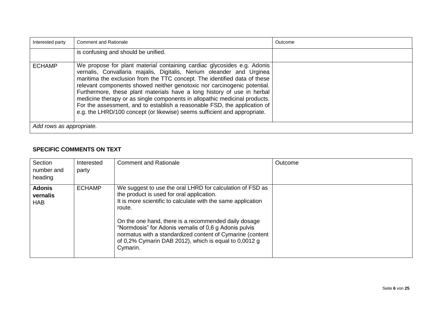| Interested party         | <b>Comment and Rationale</b>                                                                                                                                                                                                                                                                                                                                                                                                                                                                                                                                                                                                 | Outcome |
|--------------------------|------------------------------------------------------------------------------------------------------------------------------------------------------------------------------------------------------------------------------------------------------------------------------------------------------------------------------------------------------------------------------------------------------------------------------------------------------------------------------------------------------------------------------------------------------------------------------------------------------------------------------|---------|
|                          | is confusing and should be unified.                                                                                                                                                                                                                                                                                                                                                                                                                                                                                                                                                                                          |         |
| <b>ECHAMP</b>            | We propose for plant material containing cardiac glycosides e.g. Adonis<br>vernalis, Convallaria majalis, Digitalis, Nerium oleander and Urginea<br>maritima the exclusion from the TTC concept. The identified data of these<br>relevant components showed neither genotoxic nor carcinogenic potential.<br>Furthermore, these plant materials have a long history of use in herbal<br>medicine therapy or as single components in allopathic medicinal products.<br>For the assessment, and to establish a reasonable FSD, the application of<br>e.g. the LHRD/100 concept (or likewise) seems sufficient and appropriate. |         |
| Add rows as appropriate. |                                                                                                                                                                                                                                                                                                                                                                                                                                                                                                                                                                                                                              |         |

#### **SPECIFIC COMMENTS ON TEXT**

| Section<br>number and<br>heading        | Interested<br>party | <b>Comment and Rationale</b>                                                                                                                                                                                                                                                                                                                                                                                                         | Outcome |
|-----------------------------------------|---------------------|--------------------------------------------------------------------------------------------------------------------------------------------------------------------------------------------------------------------------------------------------------------------------------------------------------------------------------------------------------------------------------------------------------------------------------------|---------|
| <b>Adonis</b><br>vernalis<br><b>HAB</b> | <b>ECHAMP</b>       | We suggest to use the oral LHRD for calculation of FSD as<br>the product is used for oral application.<br>It is more scientific to calculate with the same application<br>route.<br>On the one hand, there is a recommended daily dosage<br>"Normdosis" for Adonis vernalis of 0,6 g Adonis pulvis<br>normatus with a standardized content of Cymarine (content<br>of 0,2% Cymarin DAB 2012), which is equal to 0,0012 g<br>Cymarin. |         |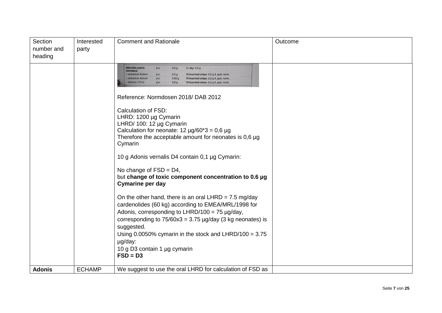| Section<br>number and<br>heading | Interested<br>party | <b>Comment and Rationale</b>                                                                                                                                                                                                                                                                                                                                                                                   | Outcome |
|----------------------------------|---------------------|----------------------------------------------------------------------------------------------------------------------------------------------------------------------------------------------------------------------------------------------------------------------------------------------------------------------------------------------------------------------------------------------------------------|---------|
|                                  |                     | <b>Adonidis pulvis</b><br>3 × tägl. 0,2 g<br>p.o.<br>0,2g<br>normatus<br>- extractum fluidum<br>0,2g<br>Wirksamkeit entspr. 0,2 g A. pulv. norm<br>p.o.<br>0,05g<br>- extractum siccum<br>p.o.<br>Wirksamkeit entspr. 0,2 g A. pulv. norm.<br>tinctura (10%)<br>2,0g<br>Wirksamkeit entspr. 0,2 g A. pulv. norm<br>p.o.                                                                                        |         |
|                                  |                     | Reference: Normdosen 2018/ DAB 2012<br><b>Calculation of FSD:</b><br>LHRD: 1200 µg Cymarin<br>LHRD/ 100: 12 µg Cymarin<br>Calculation for neonate: $12 \mu g/60^*3 = 0.6 \mu g$<br>Therefore the acceptable amount for neonates is $0,6 \mu g$<br>Cymarin<br>10 g Adonis vernalis D4 contain 0,1 µg Cymarin:<br>No change of $FSD = D4$ ,<br>but change of toxic component concentration to 0.6 µg             |         |
|                                  |                     | <b>Cymarine per day</b><br>On the other hand, there is an oral LHRD = $7.5 \text{ mg/day}$<br>cardenolides (60 kg) according to EMEA/MRL/1998 for<br>Adonis, corresponding to LHRD/100 = 75 $\mu$ g/day,<br>corresponding to $75/60x3 = 3.75 \mu g/day$ (3 kg neonates) is<br>suggested.<br>Using $0.0050\%$ cymarin in the stock and LHRD/100 = 3.75<br>µg/day:<br>10 g D3 contain 1 µg cymarin<br>$FSD = D3$ |         |
| <b>Adonis</b>                    | <b>ECHAMP</b>       | We suggest to use the oral LHRD for calculation of FSD as                                                                                                                                                                                                                                                                                                                                                      |         |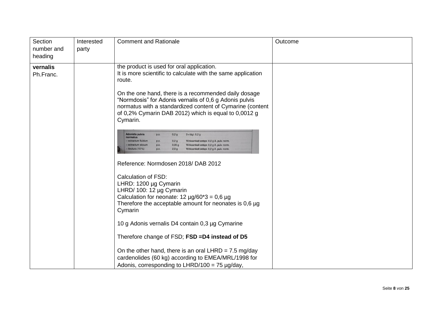| Section<br>number and<br>heading | Interested<br>party | <b>Comment and Rationale</b>                                                                                                                                                                                                                                                                                               | Outcome |
|----------------------------------|---------------------|----------------------------------------------------------------------------------------------------------------------------------------------------------------------------------------------------------------------------------------------------------------------------------------------------------------------------|---------|
| vernalis<br>Ph.Franc.            |                     | the product is used for oral application.<br>It is more scientific to calculate with the same application<br>route.<br>On the one hand, there is a recommended daily dosage<br>"Normdosis" for Adonis vernalis of 0,6 g Adonis pulvis<br>normatus with a standardized content of Cymarine (content                         |         |
|                                  |                     | of 0,2% Cymarin DAB 2012) which is equal to 0,0012 g<br>Cymarin.                                                                                                                                                                                                                                                           |         |
|                                  |                     | <b>Adonidis pulvis</b><br>0,2g<br>3 × tägl. 0,2 g<br>D.O.<br>normatus<br>- extractum fluidum<br>0,2g<br>Wirksamkeit entspr. 0,2 g A. pulv. norm.<br>D.O.<br>0,05g<br>Wirksamkeit entspr. 0,2 g A. pulv. norm.<br>extractum siccum<br>p.o.<br>2,0g<br>tinctura $(10\%)$<br>p.o.<br>Wirksamkeit entspr. 0,2 g A. pulv. norm. |         |
|                                  |                     | Reference: Normdosen 2018/ DAB 2012                                                                                                                                                                                                                                                                                        |         |
|                                  |                     | Calculation of FSD:<br>LHRD: 1200 µg Cymarin<br>LHRD/ 100: 12 µg Cymarin<br>Calculation for neonate: $12 \mu g/60^*3 = 0.6 \mu g$<br>Therefore the acceptable amount for neonates is $0,6 \mu g$<br>Cymarin                                                                                                                |         |
|                                  |                     | 10 g Adonis vernalis D4 contain 0,3 µg Cymarine                                                                                                                                                                                                                                                                            |         |
|                                  |                     | Therefore change of FSD; FSD =D4 instead of D5                                                                                                                                                                                                                                                                             |         |
|                                  |                     | On the other hand, there is an oral LHRD = $7.5 \text{ mg/day}$<br>cardenolides (60 kg) according to EMEA/MRL/1998 for<br>Adonis, corresponding to LHRD/100 = 75 $\mu$ g/day,                                                                                                                                              |         |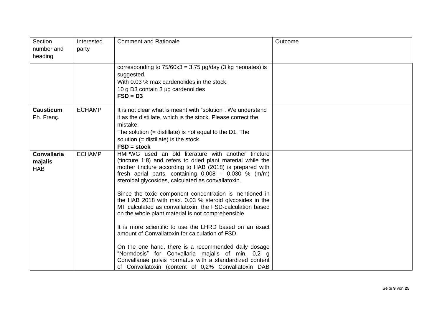| Section<br>number and<br>heading            | Interested<br>party | <b>Comment and Rationale</b>                                                                                                                                                                                                                                                                                                                                                                                                                                                                                                                                                                                                                                                                                                                                                                                                                                                         | Outcome |
|---------------------------------------------|---------------------|--------------------------------------------------------------------------------------------------------------------------------------------------------------------------------------------------------------------------------------------------------------------------------------------------------------------------------------------------------------------------------------------------------------------------------------------------------------------------------------------------------------------------------------------------------------------------------------------------------------------------------------------------------------------------------------------------------------------------------------------------------------------------------------------------------------------------------------------------------------------------------------|---------|
|                                             |                     | corresponding to $75/60x3 = 3.75 \mu g/day$ (3 kg neonates) is<br>suggested.<br>With 0.03 % max cardenolides in the stock:<br>10 g D3 contain 3 µg cardenolides<br>$FSD = D3$                                                                                                                                                                                                                                                                                                                                                                                                                                                                                                                                                                                                                                                                                                        |         |
| <b>Causticum</b><br>Ph. Franç.              | <b>ECHAMP</b>       | It is not clear what is meant with "solution". We understand<br>it as the distillate, which is the stock. Please correct the<br>mistake:<br>The solution $(=$ distillate) is not equal to the D1. The<br>solution $(=$ distillate) is the stock.<br>$FSD = stock$                                                                                                                                                                                                                                                                                                                                                                                                                                                                                                                                                                                                                    |         |
| <b>Convallaria</b><br>majalis<br><b>HAB</b> | <b>ECHAMP</b>       | HMPWG used an old literature with another tincture<br>(tincture 1:8) and refers to dried plant material while the<br>mother tincture according to HAB (2018) is prepared with<br>fresh aerial parts, containing $0.008 - 0.030$ % (m/m)<br>steroidal glycosides, calculated as convallatoxin.<br>Since the toxic component concentration is mentioned in<br>the HAB 2018 with max. 0.03 % steroid glycosides in the<br>MT calculated as convallatoxin, the FSD-calculation based<br>on the whole plant material is not comprehensible.<br>It is more scientific to use the LHRD based on an exact<br>amount of Convallatoxin for calculation of FSD.<br>On the one hand, there is a recommended daily dosage<br>"Normdosis" for Convallaria majalis of min. 0,2 g<br>Convallariae pulvis normatus with a standardized content<br>of Convallatoxin (content of 0,2% Convallatoxin DAB |         |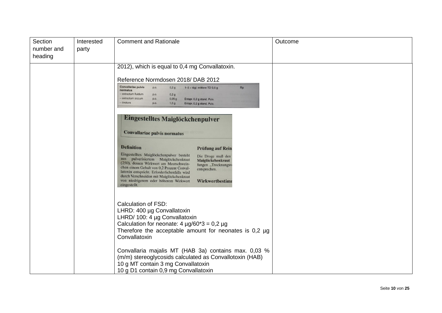| Section<br>number and<br>heading | Interested<br>party | <b>Comment and Rationale</b>                                                                                                                                                                                                                                                                                                                                                                                                     | Outcome |
|----------------------------------|---------------------|----------------------------------------------------------------------------------------------------------------------------------------------------------------------------------------------------------------------------------------------------------------------------------------------------------------------------------------------------------------------------------------------------------------------------------|---------|
|                                  |                     | 2012), which is equal to 0,4 mg Convallatoxin.                                                                                                                                                                                                                                                                                                                                                                                   |         |
|                                  |                     | Reference Normdosen 2018/ DAB 2012                                                                                                                                                                                                                                                                                                                                                                                               |         |
|                                  |                     | <b>Convallariae pulvis</b><br>1-3 × tägl; mittlere TD 0.6 g<br>Rp<br>p.o.<br>0,2g<br>normatus<br>- extractum fluidum<br>0,2g<br>p.o.<br>- extractum siccum<br>p.o.<br>0,05g<br>Entspr. 0,2 g stand. Pulv.<br>- tinctura<br>p.o.<br>1,0g<br>Entspr. 0,2 g stand. Pulv.                                                                                                                                                            |         |
|                                  |                     | Eingestelltes Maiglöckchenpulver<br><b>Convallariae pulvis normatus</b>                                                                                                                                                                                                                                                                                                                                                          |         |
|                                  |                     | <b>Definition</b><br><b>Prüfung auf Rein</b>                                                                                                                                                                                                                                                                                                                                                                                     |         |
|                                  |                     | Eingestelltes Maiglöckchenpulver besteht<br>Die Droge muß den<br>aus pulverisiertem Maiglöckchenkraut<br>Maiglöckchenkraut<br>(250), dessen Wirkwert am Meerschwein-<br>fungen, Trocknungsv<br>chen einem Gehalt von 0,2 Prozent Conval-<br>entsprechen.<br>latoxin entspricht. Erforderlichenfalls wird<br>durch Verschneiden mit Maiglöckchenkraut<br>von niedrigerem oder höherem Wirkwert<br>Wirkwertbestimn<br>eingestellt. |         |
|                                  |                     | <b>Calculation of FSD:</b><br>LHRD: 400 µg Convallatoxin<br>LHRD/ 100: 4 µg Convallatoxin<br>Calculation for neonate: $4 \mu g/60^*3 = 0.2 \mu g$<br>Therefore the acceptable amount for neonates is $0.2 \mu g$<br>Convallatoxin                                                                                                                                                                                                |         |
|                                  |                     | Convallaria majalis MT (HAB 3a) contains max. 0,03 %<br>(m/m) stereoglycosids calculated as Convallotoxin (HAB)<br>10 g MT contain 3 mg Convallatoxin<br>10 g D1 contain 0,9 mg Convallatoxin                                                                                                                                                                                                                                    |         |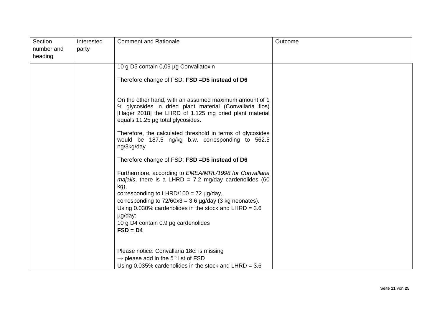| Section<br>number and<br>heading | Interested<br>party | <b>Comment and Rationale</b>                                                                                                                                                                                                                                                                                                                                 | Outcome |
|----------------------------------|---------------------|--------------------------------------------------------------------------------------------------------------------------------------------------------------------------------------------------------------------------------------------------------------------------------------------------------------------------------------------------------------|---------|
|                                  |                     | 10 g D5 contain 0,09 µg Convallatoxin                                                                                                                                                                                                                                                                                                                        |         |
|                                  |                     | Therefore change of FSD; FSD =D5 instead of D6                                                                                                                                                                                                                                                                                                               |         |
|                                  |                     | On the other hand, with an assumed maximum amount of 1<br>% glycosides in dried plant material (Convallaria flos)<br>[Hager 2018] the LHRD of 1.125 mg dried plant material<br>equals 11.25 µg total glycosides.                                                                                                                                             |         |
|                                  |                     | Therefore, the calculated threshold in terms of glycosides<br>would be 187.5 ng/kg b.w. corresponding to 562.5<br>ng/3kg/day                                                                                                                                                                                                                                 |         |
|                                  |                     | Therefore change of FSD; FSD =D5 instead of D6                                                                                                                                                                                                                                                                                                               |         |
|                                  |                     | Furthermore, according to <i>EMEA/MRL/1998 for Convallaria</i><br>majalis, there is a LHRD = 7.2 mg/day cardenolides (60<br>kg),<br>corresponding to LHRD/100 = 72 $\mu$ g/day,<br>corresponding to $72/60x3 = 3.6 \mu g/day$ (3 kg neonates).<br>Using $0.030\%$ cardenolides in the stock and LHRD = 3.6<br>µg/day:<br>10 g D4 contain 0.9 µg cardenolides |         |
|                                  |                     | $FSD = D4$                                                                                                                                                                                                                                                                                                                                                   |         |
|                                  |                     | Please notice: Convallaria 18c: is missing<br>$\rightarrow$ please add in the 5 <sup>th</sup> list of FSD<br>Using $0.035\%$ cardenolides in the stock and LHRD = 3.6                                                                                                                                                                                        |         |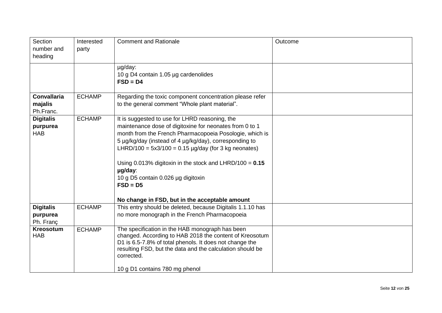| Section<br>number and<br>heading           | Interested<br>party | <b>Comment and Rationale</b>                                                                                                                                                                                                                                                                                                                                                                                                                                              | Outcome |
|--------------------------------------------|---------------------|---------------------------------------------------------------------------------------------------------------------------------------------------------------------------------------------------------------------------------------------------------------------------------------------------------------------------------------------------------------------------------------------------------------------------------------------------------------------------|---------|
|                                            |                     | µg/day:<br>10 g D4 contain 1.05 µg cardenolides<br>$FSD = D4$                                                                                                                                                                                                                                                                                                                                                                                                             |         |
| <b>Convallaria</b><br>majalis<br>Ph.Franc. | <b>ECHAMP</b>       | Regarding the toxic component concentration please refer<br>to the general comment "Whole plant material".                                                                                                                                                                                                                                                                                                                                                                |         |
| <b>Digitalis</b><br>purpurea<br><b>HAB</b> | <b>ECHAMP</b>       | It is suggested to use for LHRD reasoning, the<br>maintenance dose of digitoxine for neonates from 0 to 1<br>month from the French Pharmacopoeia Posologie, which is<br>5 µg/kg/day (instead of 4 µg/kg/day), corresponding to<br>LHRD/100 = $5x3/100 = 0.15 \mu g/day$ (for 3 kg neonates)<br>Using 0.013% digitoxin in the stock and LHRD/100 = $0.15$<br>µg/day:<br>10 g D5 contain 0.026 µg digitoxin<br>$FSD = D5$<br>No change in FSD, but in the acceptable amount |         |
| <b>Digitalis</b><br>purpurea<br>Ph. Franç  | <b>ECHAMP</b>       | This entry should be deleted, because Digitalis 1.1.10 has<br>no more monograph in the French Pharmacopoeia                                                                                                                                                                                                                                                                                                                                                               |         |
| <b>Kreosotum</b><br><b>HAB</b>             | <b>ECHAMP</b>       | The specification in the HAB monograph has been<br>changed. According to HAB 2018 the content of Kreosotum<br>D1 is 6.5-7.8% of total phenols. It does not change the<br>resulting FSD, but the data and the calculation should be<br>corrected.<br>10 g D1 contains 780 mg phenol                                                                                                                                                                                        |         |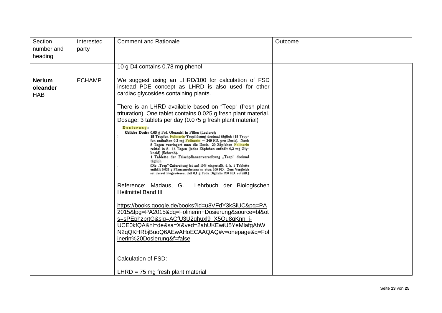| Section<br>number and<br>heading        | Interested<br>party | <b>Comment and Rationale</b>                                                                                                                                                                                                                                                                                                                                                                                                                                                                                                                                                                                                                                                                                                                                                                                                                                                                                                                                                                                                                                                                                                                                                                                                                                                                                                                                                                     | Outcome |
|-----------------------------------------|---------------------|--------------------------------------------------------------------------------------------------------------------------------------------------------------------------------------------------------------------------------------------------------------------------------------------------------------------------------------------------------------------------------------------------------------------------------------------------------------------------------------------------------------------------------------------------------------------------------------------------------------------------------------------------------------------------------------------------------------------------------------------------------------------------------------------------------------------------------------------------------------------------------------------------------------------------------------------------------------------------------------------------------------------------------------------------------------------------------------------------------------------------------------------------------------------------------------------------------------------------------------------------------------------------------------------------------------------------------------------------------------------------------------------------|---------|
|                                         |                     | 10 g D4 contains 0.78 mg phenol                                                                                                                                                                                                                                                                                                                                                                                                                                                                                                                                                                                                                                                                                                                                                                                                                                                                                                                                                                                                                                                                                                                                                                                                                                                                                                                                                                  |         |
| <b>Nerium</b><br>oleander<br><b>HAB</b> | <b>ECHAMP</b>       | We suggest using an LHRD/100 for calculation of FSD<br>instead PDE concept as LHRD is also used for other<br>cardiac glycosides containing plants.<br>There is an LHRD available based on "Teep" (fresh plant<br>trituration). One tablet contains 0.025 g fresh plant material.<br>Dosage: 3 tablets per day (0.075 g fresh plant material)<br>Dosierung:<br>Übliche Dosis: 0,05 g Fol. Oleandri in Pillen (Leclerc);<br>15 Tropfen Folinerin-Tropflösung dreimal täglich (15 Trop-<br>fen enthalten 0,2 mg $F$ olinerin = 240 FD. pro Dosis). Nach<br>8 Tagen verringert man die Dosis. 20 Zäpfchen Folinerin<br>rektal in 8-14 Tagen (jedes Zäpfchen enthält 0,2 mg Gly-<br>kosid) (Schwab).<br>1 Tablette der Frischpflanzenverreibung "Teep" dreimal<br>täglich.<br>(Die "Teep"-Zubereitung ist auf 10% eingestellt, d. h. 1 Tablette<br>enthält 0,025 g Pflanzensubstanz $=$ etwa 100 FD. Zum Vergleich<br>sei darauf hingewiesen, daß 0,1 g Folia Digitalis 200 FD. enthält.)<br>Reference: Madaus, G.<br>Lehrbuch der Biologischen<br><b>Heilmittel Band III</b><br>https://books.google.de/books?id=u8VFdY3kSiUC&pg=PA<br>2015&lpg=PA2015&dq=Folinerin+Dosierung&source=bl&ot<br>s=sPEphzprtG&sig=ACfU3U2ghuxl9 X5Ou8gKnn j-<br>UCE0kfQA&hl=de&sa=X&ved=2ahUKEwiU5YeMlafgAhW<br>N2qQKHRbjBuoQ6AEwAHoECAAQAQ#v=onepage&q=Fol<br>inerin%20Dosierung&f=false<br><b>Calculation of FSD:</b> |         |
|                                         |                     | $LHRD = 75$ mg fresh plant material                                                                                                                                                                                                                                                                                                                                                                                                                                                                                                                                                                                                                                                                                                                                                                                                                                                                                                                                                                                                                                                                                                                                                                                                                                                                                                                                                              |         |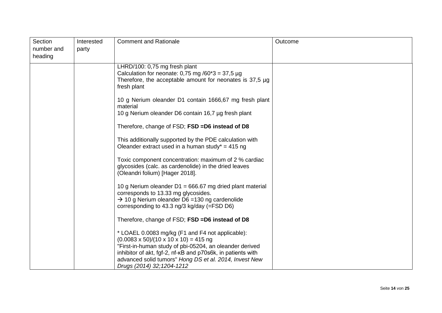| Section<br>number and<br>heading | Interested<br>party | <b>Comment and Rationale</b>                                                                                                                                                                                                                                                                                                 | Outcome |
|----------------------------------|---------------------|------------------------------------------------------------------------------------------------------------------------------------------------------------------------------------------------------------------------------------------------------------------------------------------------------------------------------|---------|
|                                  |                     | LHRD/100: 0,75 mg fresh plant<br>Calculation for neonate: 0,75 mg /60*3 = 37,5 µg<br>Therefore, the acceptable amount for neonates is $37.5 \mu g$<br>fresh plant                                                                                                                                                            |         |
|                                  |                     | 10 g Nerium oleander D1 contain 1666,67 mg fresh plant<br>material<br>10 g Nerium oleander D6 contain 16,7 µg fresh plant                                                                                                                                                                                                    |         |
|                                  |                     | Therefore, change of FSD; FSD = D6 instead of D8                                                                                                                                                                                                                                                                             |         |
|                                  |                     | This additionally supported by the PDE calculation with<br>Oleander extract used in a human study* = 415 ng                                                                                                                                                                                                                  |         |
|                                  |                     | Toxic component concentration: maximum of 2 % cardiac<br>glycosides (calc. as cardenolide) in the dried leaves<br>(Oleandri folium) [Hager 2018].                                                                                                                                                                            |         |
|                                  |                     | 10 g Nerium oleander $D1 = 666.67$ mg dried plant material<br>corresponds to 13.33 mg glycosides.<br>$\rightarrow$ 10 g Nerium oleander D6 = 130 ng cardenolide<br>corresponding to 43.3 ng/3 kg/day (=FSD D6)                                                                                                               |         |
|                                  |                     | Therefore, change of FSD; FSD =D6 instead of D8                                                                                                                                                                                                                                                                              |         |
|                                  |                     | * LOAEL 0.0083 mg/kg (F1 and F4 not applicable):<br>$(0.0083 \times 50)/(10 \times 10 \times 10) = 415$ ng<br>"First-in-human study of pbi-05204, an oleander derived<br>inhibitor of akt, fgf-2, nf-kB and p70s6k, in patients with<br>advanced solid tumors" Hong DS et al. 2014, Invest New<br>Drugs (2014) 32; 1204-1212 |         |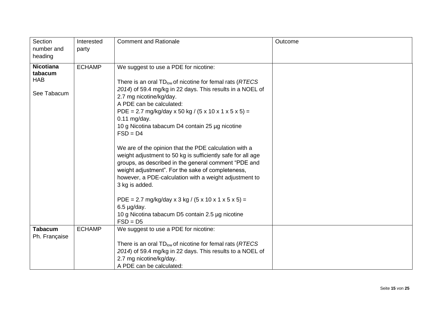| Section<br>number and<br>heading                         | Interested<br>party | <b>Comment and Rationale</b>                                                                                                                                                                                                                                                                                                                                                                                                                                                                                                                                                                                                                                                                                                                                                                                                                | Outcome |
|----------------------------------------------------------|---------------------|---------------------------------------------------------------------------------------------------------------------------------------------------------------------------------------------------------------------------------------------------------------------------------------------------------------------------------------------------------------------------------------------------------------------------------------------------------------------------------------------------------------------------------------------------------------------------------------------------------------------------------------------------------------------------------------------------------------------------------------------------------------------------------------------------------------------------------------------|---------|
| <b>Nicotiana</b><br>tabacum<br><b>HAB</b><br>See Tabacum | <b>ECHAMP</b>       | We suggest to use a PDE for nicotine:<br>There is an oral TD <sub>low</sub> of nicotine for femal rats (RTECS)<br>2014) of 59.4 mg/kg in 22 days. This results in a NOEL of<br>2.7 mg nicotine/kg/day.<br>A PDE can be calculated:<br>PDE = 2.7 mg/kg/day x 50 kg / (5 x 10 x 1 x 5 x 5) =<br>$0.11$ mg/day.<br>10 g Nicotina tabacum D4 contain 25 µg nicotine<br>$FSD = D4$<br>We are of the opinion that the PDE calculation with a<br>weight adjustment to 50 kg is sufficiently safe for all age<br>groups, as described in the general comment "PDE and<br>weight adjustment". For the sake of completeness,<br>however, a PDE-calculation with a weight adjustment to<br>3 kg is added.<br>PDE = 2.7 mg/kg/day x 3 kg / (5 x 10 x 1 x 5 x 5) =<br>$6.5 \mu g/day.$<br>10 g Nicotina tabacum D5 contain 2.5 µg nicotine<br>$FSD = D5$ |         |
| <b>Tabacum</b><br>Ph. Française                          | <b>ECHAMP</b>       | We suggest to use a PDE for nicotine:<br>There is an oral $TD_{low}$ of nicotine for femal rats ( $RTECS$                                                                                                                                                                                                                                                                                                                                                                                                                                                                                                                                                                                                                                                                                                                                   |         |
|                                                          |                     | 2014) of 59.4 mg/kg in 22 days. This results to a NOEL of<br>2.7 mg nicotine/kg/day.<br>A PDE can be calculated:                                                                                                                                                                                                                                                                                                                                                                                                                                                                                                                                                                                                                                                                                                                            |         |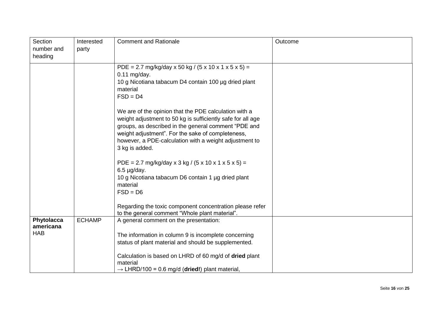| Section<br>number and<br>heading | Interested<br>party | <b>Comment and Rationale</b>                                                                                                                                                                                                                                                                                  | Outcome |
|----------------------------------|---------------------|---------------------------------------------------------------------------------------------------------------------------------------------------------------------------------------------------------------------------------------------------------------------------------------------------------------|---------|
|                                  |                     | PDE = 2.7 mg/kg/day x 50 kg / (5 x 10 x 1 x 5 x 5) =<br>$0.11$ mg/day.<br>10 g Nicotiana tabacum D4 contain 100 µg dried plant<br>material<br>$FSD = D4$                                                                                                                                                      |         |
|                                  |                     | We are of the opinion that the PDE calculation with a<br>weight adjustment to 50 kg is sufficiently safe for all age<br>groups, as described in the general comment "PDE and<br>weight adjustment". For the sake of completeness,<br>however, a PDE-calculation with a weight adjustment to<br>3 kg is added. |         |
|                                  |                     | PDE = 2.7 mg/kg/day x 3 kg / (5 x 10 x 1 x 5 x 5) =<br>$6.5 \mu g/day.$<br>10 g Nicotiana tabacum D6 contain 1 µg dried plant<br>material<br>$FSD = D6$<br>Regarding the toxic component concentration please refer                                                                                           |         |
| Phytolacca                       | <b>ECHAMP</b>       | to the general comment "Whole plant material".<br>A general comment on the presentation:                                                                                                                                                                                                                      |         |
| americana<br><b>HAB</b>          |                     | The information in column 9 is incomplete concerning<br>status of plant material and should be supplemented.<br>Calculation is based on LHRD of 60 mg/d of dried plant<br>material<br>$\rightarrow$ LHRD/100 = 0.6 mg/d (dried!) plant material,                                                              |         |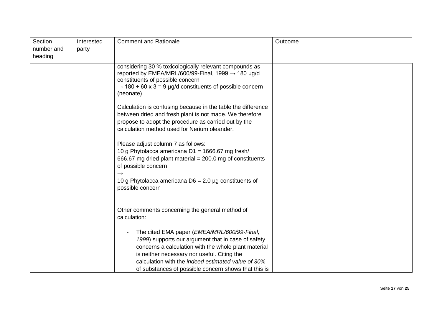| Section<br>number and<br>heading | Interested<br>party | <b>Comment and Rationale</b>                                                                                                                                                                                                                                                                                                    | Outcome |
|----------------------------------|---------------------|---------------------------------------------------------------------------------------------------------------------------------------------------------------------------------------------------------------------------------------------------------------------------------------------------------------------------------|---------|
|                                  |                     | considering 30 % toxicologically relevant compounds as<br>reported by EMEA/MRL/600/99-Final, 1999 $\rightarrow$ 180 µg/d<br>constituents of possible concern<br>$\rightarrow$ 180 ÷ 60 x 3 = 9 µg/d constituents of possible concern<br>(neonate)                                                                               |         |
|                                  |                     | Calculation is confusing because in the table the difference<br>between dried and fresh plant is not made. We therefore<br>propose to adopt the procedure as carried out by the<br>calculation method used for Nerium oleander.                                                                                                 |         |
|                                  |                     | Please adjust column 7 as follows:<br>10 g Phytolacca americana D1 = 1666.67 mg fresh/<br>666.67 mg dried plant material = 200.0 mg of constituents<br>of possible concern<br>$\rightarrow$                                                                                                                                     |         |
|                                  |                     | 10 g Phytolacca americana $D6 = 2.0$ µg constituents of<br>possible concern                                                                                                                                                                                                                                                     |         |
|                                  |                     | Other comments concerning the general method of<br>calculation:                                                                                                                                                                                                                                                                 |         |
|                                  |                     | The cited EMA paper ( <i>EMEA/MRL/600/99-Final</i> ,<br>1999) supports our argument that in case of safety<br>concerns a calculation with the whole plant material<br>is neither necessary nor useful. Citing the<br>calculation with the indeed estimated value of 30%<br>of substances of possible concern shows that this is |         |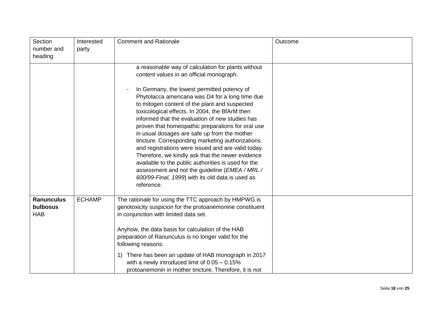| Section<br>number and<br>heading            | Interested<br>party | <b>Comment and Rationale</b>                                                                                                                                                                                                                                                                                                                                                                                                                                                                                                                                                                                                                                                                                                                                                           | Outcome |
|---------------------------------------------|---------------------|----------------------------------------------------------------------------------------------------------------------------------------------------------------------------------------------------------------------------------------------------------------------------------------------------------------------------------------------------------------------------------------------------------------------------------------------------------------------------------------------------------------------------------------------------------------------------------------------------------------------------------------------------------------------------------------------------------------------------------------------------------------------------------------|---------|
|                                             |                     | a reasonable way of calculation for plants without<br>content values in an official monograph.<br>In Germany, the lowest permitted potency of<br>Phytolacca americana was D4 for a long time due<br>to mitogen content of the plant and suspected<br>toxicological effects. In 2004, the BfArM then<br>informed that the evaluation of new studies has<br>proven that homeopathic preparations for oral use<br>in usual dosages are safe up from the mother<br>tincture. Corresponding marketing authorizations<br>and registrations were issued and are valid today.<br>Therefore, we kindly ask that the newer evidence<br>available to the public authorities is used for the<br>assessment and not the guideline (EMEA / MRL /<br>600/99-Final, 1999) with its old data is used as |         |
|                                             |                     | reference.                                                                                                                                                                                                                                                                                                                                                                                                                                                                                                                                                                                                                                                                                                                                                                             |         |
| <b>Ranunculus</b><br>bulbosus<br><b>HAB</b> | <b>ECHAMP</b>       | The rationale for using the TTC approach by HMPWG is<br>genotoxicity suspicion for the protoanemonine constituent<br>in conjunction with limited data set.<br>Anyhow, the data basis for calculation of the HAB<br>preparation of Ranunculus is no longer valid for the                                                                                                                                                                                                                                                                                                                                                                                                                                                                                                                |         |
|                                             |                     | following reasons:<br>There has been an update of HAB monograph in 2017<br>1)<br>with a newly introduced limit of $0.05 - 0.15\%$<br>protoanemonin in mother tincture. Therefore, it is not                                                                                                                                                                                                                                                                                                                                                                                                                                                                                                                                                                                            |         |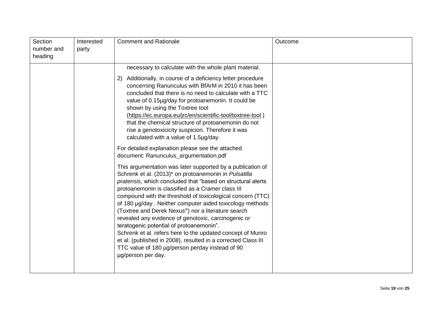| necessary to calculate with the whole plant material.<br>Additionally, in course of a deficiency letter procedure<br>2)<br>concerning Ranunculus with BfArM in 2010 it has been<br>concluded that there is no need to calculate with a TTC<br>value of 0.15µg/day for protoanemonin. It could be<br>shown by using the Toxtree tool<br>(https://ec.europa.eu/jrc/en/scientific-tool/toxtree-tool)<br>that the chemical structure of protoanemonin do not<br>rise a genotoxicicity suspicion. Therefore it was<br>calculated with a value of 1.5µg/day.<br>For detailed explanation please see the attached                                                                                                                         | Section<br>number and<br>heading | Interested<br>party | <b>Comment and Rationale</b>           | Outcome |
|------------------------------------------------------------------------------------------------------------------------------------------------------------------------------------------------------------------------------------------------------------------------------------------------------------------------------------------------------------------------------------------------------------------------------------------------------------------------------------------------------------------------------------------------------------------------------------------------------------------------------------------------------------------------------------------------------------------------------------|----------------------------------|---------------------|----------------------------------------|---------|
| This argumentation was later supported by a publication of<br>Schrenk et al. (2013)* on protoanemonin in Pulsatilla<br>pratensis, which concluded that "based on structural alerts<br>protoanemonin is classified as a Cramer class III<br>compound with the threshold of toxicological concern (TTC)<br>of 180 µg/day. Neither computer aided toxicology methods<br>(Toxtree and Derek Nexus®) nor a literature search<br>revealed any evidence of genotoxic, carcinogenic or<br>teratogenic potential of protoanemonin".<br>Schrenk et al. refers here to the updated concept of Munro<br>et al. (published in 2008), resulted in a corrected Class III<br>TTC value of 180 µg/person perday instead of 90<br>µg/person per day. |                                  |                     | document: Ranunculus_argumentation.pdf |         |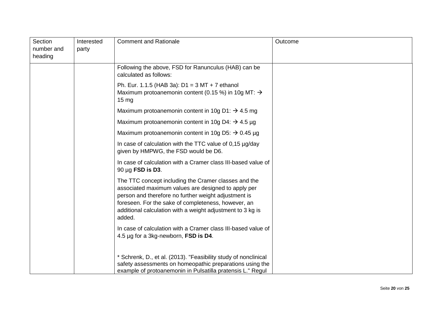| Section<br>number and<br>heading | Interested<br>party | <b>Comment and Rationale</b>                                                                                                                                                                                                                                                                       | Outcome |
|----------------------------------|---------------------|----------------------------------------------------------------------------------------------------------------------------------------------------------------------------------------------------------------------------------------------------------------------------------------------------|---------|
|                                  |                     | Following the above, FSD for Ranunculus (HAB) can be<br>calculated as follows:                                                                                                                                                                                                                     |         |
|                                  |                     | Ph. Eur. 1.1.5 (HAB 3a): $D1 = 3 MT + 7$ ethanol<br>Maximum protoanemonin content (0.15 %) in 10g MT: $\rightarrow$<br>$15 \text{ mg}$                                                                                                                                                             |         |
|                                  |                     | Maximum protoanemonin content in 10g D1: $\rightarrow$ 4.5 mg                                                                                                                                                                                                                                      |         |
|                                  |                     | Maximum protoanemonin content in 10g D4: $\rightarrow$ 4.5 µg                                                                                                                                                                                                                                      |         |
|                                  |                     | Maximum protoanemonin content in 10g D5: $\rightarrow$ 0.45 µg                                                                                                                                                                                                                                     |         |
|                                  |                     | In case of calculation with the TTC value of 0,15 µg/day<br>given by HMPWG, the FSD would be D6.                                                                                                                                                                                                   |         |
|                                  |                     | In case of calculation with a Cramer class III-based value of<br>$90 \mu g$ FSD is D3.                                                                                                                                                                                                             |         |
|                                  |                     | The TTC concept including the Cramer classes and the<br>associated maximum values are designed to apply per<br>person and therefore no further weight adjustment is<br>foreseen. For the sake of completeness, however, an<br>additional calculation with a weight adjustment to 3 kg is<br>added. |         |
|                                  |                     | In case of calculation with a Cramer class III-based value of<br>4.5 µg for a 3kg-newborn, FSD is D4.                                                                                                                                                                                              |         |
|                                  |                     | * Schrenk, D., et al. (2013). "Feasibility study of nonclinical<br>safety assessments on homeopathic preparations using the<br>example of protoanemonin in Pulsatilla pratensis L." Regul                                                                                                          |         |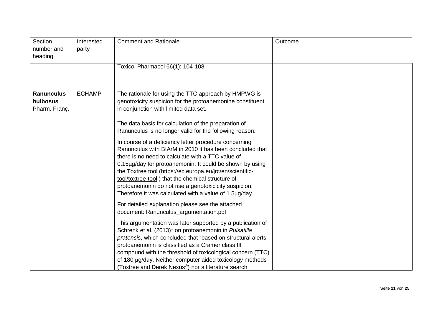| Section<br>number and<br>heading               | Interested<br>party | <b>Comment and Rationale</b>                                                                                                                                                                                                                                                                                                                                                                                                                                            | Outcome |
|------------------------------------------------|---------------------|-------------------------------------------------------------------------------------------------------------------------------------------------------------------------------------------------------------------------------------------------------------------------------------------------------------------------------------------------------------------------------------------------------------------------------------------------------------------------|---------|
|                                                |                     | Toxicol Pharmacol 66(1): 104-108.                                                                                                                                                                                                                                                                                                                                                                                                                                       |         |
| <b>Ranunculus</b><br>bulbosus<br>Pharm. Franç. | <b>ECHAMP</b>       | The rationale for using the TTC approach by HMPWG is<br>genotoxicity suspicion for the protoanemonine constituent<br>in conjunction with limited data set.                                                                                                                                                                                                                                                                                                              |         |
|                                                |                     | The data basis for calculation of the preparation of<br>Ranunculus is no longer valid for the following reason:                                                                                                                                                                                                                                                                                                                                                         |         |
|                                                |                     | In course of a deficiency letter procedure concerning<br>Ranunculus with BfArM in 2010 it has been concluded that<br>there is no need to calculate with a TTC value of<br>0.15µg/day for protoanemonin. It could be shown by using<br>the Toxtree tool (https://ec.europa.eu/jrc/en/scientific-<br>tool/toxtree-tool) that the chemical structure of<br>protoanemonin do not rise a genotoxicicity suspicion.<br>Therefore it was calculated with a value of 1.5µg/day. |         |
|                                                |                     | For detailed explanation please see the attached<br>document: Ranunculus_argumentation.pdf                                                                                                                                                                                                                                                                                                                                                                              |         |
|                                                |                     | This argumentation was later supported by a publication of<br>Schrenk et al. (2013)* on protoanemonin in Pulsatilla<br>pratensis, which concluded that "based on structural alerts<br>protoanemonin is classified as a Cramer class III<br>compound with the threshold of toxicological concern (TTC)<br>of 180 µg/day. Neither computer aided toxicology methods<br>(Toxtree and Derek Nexus <sup>®</sup> ) nor a literature search                                    |         |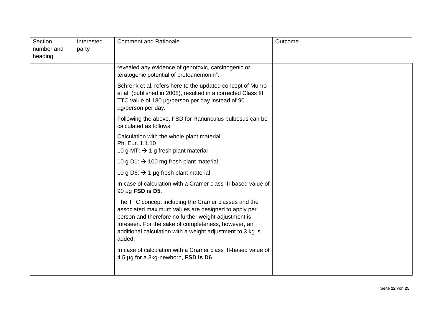| Section<br>number and<br>heading | Interested<br>party | <b>Comment and Rationale</b>                                                                                                                                                                                                                                                                       | Outcome |
|----------------------------------|---------------------|----------------------------------------------------------------------------------------------------------------------------------------------------------------------------------------------------------------------------------------------------------------------------------------------------|---------|
|                                  |                     | revealed any evidence of genotoxic, carcinogenic or<br>teratogenic potential of protoanemonin".                                                                                                                                                                                                    |         |
|                                  |                     | Schrenk et al. refers here to the updated concept of Munro<br>et al. (published in 2008), resulted in a corrected Class III<br>TTC value of 180 µg/person per day instead of 90<br>µg/person per day.                                                                                              |         |
|                                  |                     | Following the above, FSD for Ranunculus bulbosus can be<br>calculated as follows:                                                                                                                                                                                                                  |         |
|                                  |                     | Calculation with the whole plant material:<br>Ph. Eur. 1.1.10<br>10 g MT: $\rightarrow$ 1 g fresh plant material                                                                                                                                                                                   |         |
|                                  |                     | 10 g D1: $\rightarrow$ 100 mg fresh plant material                                                                                                                                                                                                                                                 |         |
|                                  |                     | 10 g D6: $\rightarrow$ 1 µg fresh plant material                                                                                                                                                                                                                                                   |         |
|                                  |                     | In case of calculation with a Cramer class III-based value of<br>$90 \mu g$ FSD is D5.                                                                                                                                                                                                             |         |
|                                  |                     | The TTC concept including the Cramer classes and the<br>associated maximum values are designed to apply per<br>person and therefore no further weight adjustment is<br>foreseen. For the sake of completeness, however, an<br>additional calculation with a weight adjustment to 3 kg is<br>added. |         |
|                                  |                     | In case of calculation with a Cramer class III-based value of<br>4.5 µg for a 3kg-newborn, FSD is D6.                                                                                                                                                                                              |         |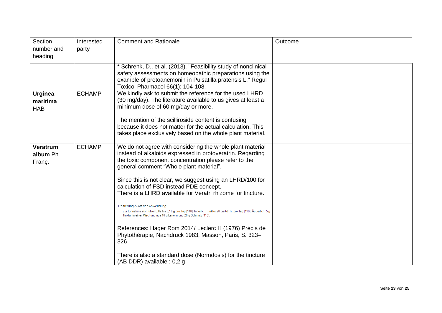| Section<br>number and<br>heading         | Interested<br>party | <b>Comment and Rationale</b>                                                                                                                                                                                                   | Outcome |
|------------------------------------------|---------------------|--------------------------------------------------------------------------------------------------------------------------------------------------------------------------------------------------------------------------------|---------|
|                                          |                     | * Schrenk, D., et al. (2013). "Feasibility study of nonclinical<br>safety assessments on homeopathic preparations using the<br>example of protoanemonin in Pulsatilla pratensis L." Regul<br>Toxicol Pharmacol 66(1): 104-108. |         |
| <b>Urginea</b><br>maritima<br><b>HAB</b> | <b>ECHAMP</b>       | We kindly ask to submit the reference for the used LHRD<br>(30 mg/day). The literature available to us gives at least a<br>minimum dose of 60 mg/day or more.                                                                  |         |
|                                          |                     | The mention of the scilliroside content is confusing<br>because it does not matter for the actual calculation. This<br>takes place exclusively based on the whole plant material.                                              |         |
| Veratrum<br>album Ph.<br>Franç.          | <b>ECHAMP</b>       | We do not agree with considering the whole plant material<br>instead of alkaloids expressed in protoveratrin. Regarding<br>the toxic component concentration please refer to the<br>general comment "Whole plant material".    |         |
|                                          |                     | Since this is not clear, we suggest using an LHRD/100 for<br>calculation of FSD instead PDE concept.<br>There is a LHRD available for Veratri rhizome for tincture.                                                            |         |
|                                          |                     | Dosierung & Art der Anwendung<br>Zur Einnahme als Pulver 0,02 bis 0,10 g pro Tag [118]. Innerlich: Tinktur 20 bis 60 Tr. pro Tag [118]. Äußerlich: 5 g<br>Tinktur in einer Mischung aus 10 g Lanolin und 20 g Schmalz [118].   |         |
|                                          |                     | References: Hager Rom 2014/ Leclerc H (1976) Précis de<br>Phytothérapie, Nachdruck 1983, Masson, Paris, S. 323-<br>326                                                                                                         |         |
|                                          |                     | There is also a standard dose (Normdosis) for the tincture<br>(AB DDR) available : 0,2 g                                                                                                                                       |         |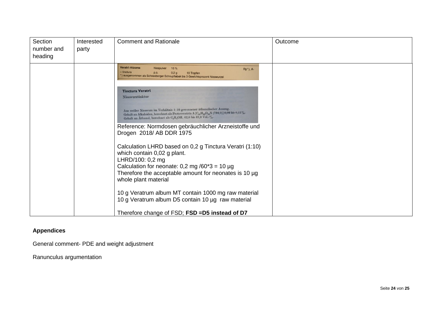| Section<br>number and<br>heading | Interested<br>party | <b>Comment and Rationale</b>                                                                                                                                                                                                                                                                                                                                                                                                                                                                                                                                                                                                                                                                                                                                                                           | Outcome |
|----------------------------------|---------------------|--------------------------------------------------------------------------------------------------------------------------------------------------------------------------------------------------------------------------------------------------------------------------------------------------------------------------------------------------------------------------------------------------------------------------------------------------------------------------------------------------------------------------------------------------------------------------------------------------------------------------------------------------------------------------------------------------------------------------------------------------------------------------------------------------------|---------|
|                                  |                     | Veratri rhizoma<br>10 %<br>Niespulver<br>Rp*), A-<br>- tinctura<br>0,2g<br>10 Tropfen<br><b>p.o.</b><br>*) ausgenommen als Schneeberger Schnupftabak bis 3 Gewichtsprozent Nieswurzel                                                                                                                                                                                                                                                                                                                                                                                                                                                                                                                                                                                                                  |         |
|                                  |                     | <b>Tinctura Veratri</b><br>Nieswurztinktur<br>Aus weißer Nieswurz im Verhältnis 1:10 gewonnener äthanolischer Auszug.<br>Gehalt an Alkaloiden, berechnet als Protoveratrin A [C <sub>41</sub> H <sub>63</sub> O <sub>14</sub> N (794,0)] 0,09 bis 0,11%.<br>Gehalt an Äthanol, berechnet als C <sub>2</sub> H <sub>5</sub> OH, 62,0 bis 67,0 Vol.-%.<br>Reference: Normdosen gebräuchlicher Arzneistoffe und<br>Drogen 2018/ AB DDR 1975<br>Calculation LHRD based on 0,2 g Tinctura Veratri (1:10)<br>which contain 0,02 g plant.<br>LHRD/100: 0,2 mg<br>Calculation for neonate: $0,2$ mg /60*3 = 10 µg<br>Therefore the acceptable amount for neonates is 10 µg<br>whole plant material<br>10 g Veratrum album MT contain 1000 mg raw material<br>10 g Veratrum album D5 contain 10 µg raw material |         |
|                                  |                     | Therefore change of FSD; FSD =D5 instead of D7                                                                                                                                                                                                                                                                                                                                                                                                                                                                                                                                                                                                                                                                                                                                                         |         |

## **Appendices**

General comment- PDE and weight adjustment

Ranunculus argumentation